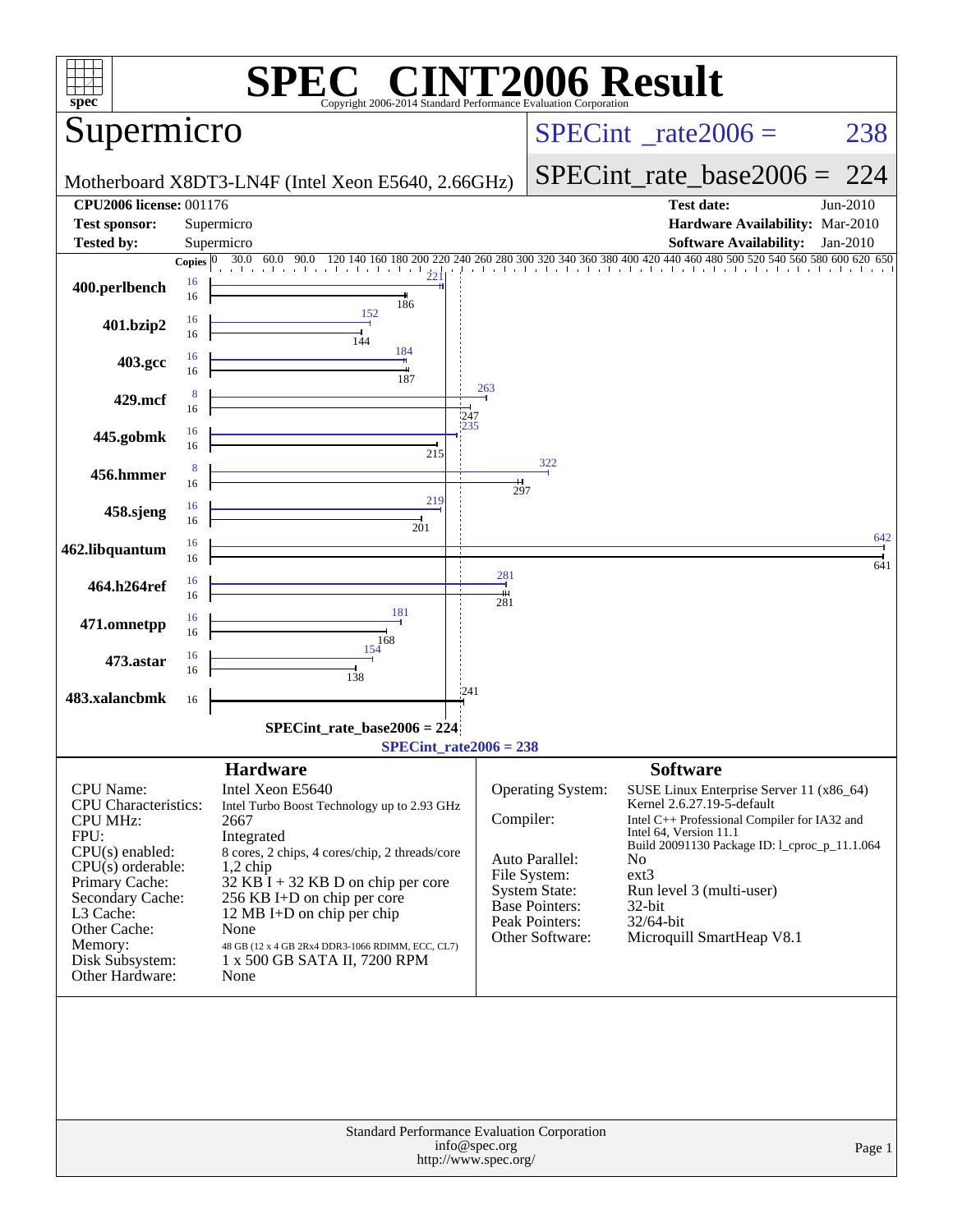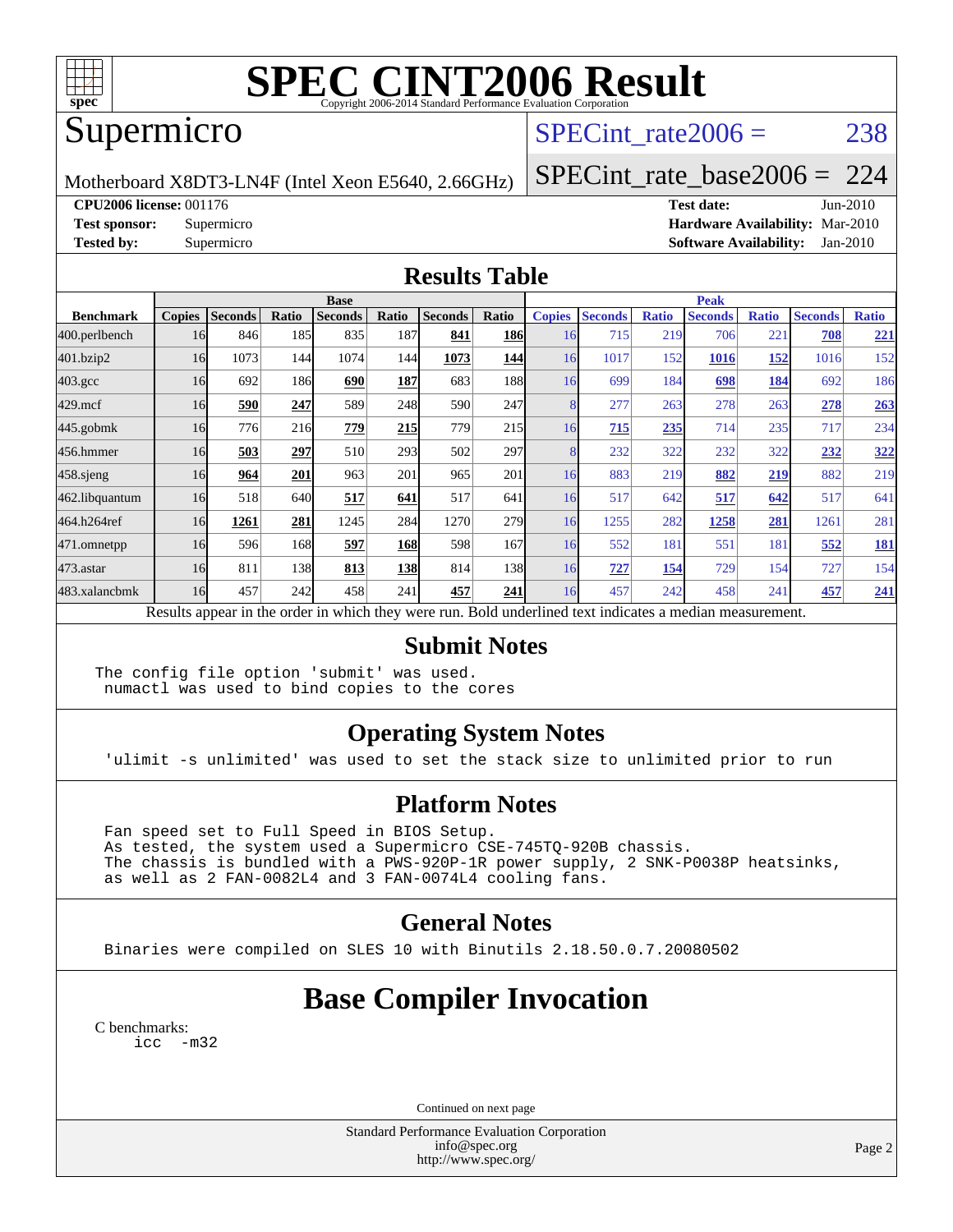

# **[SPEC CINT2006 Result](http://www.spec.org/auto/cpu2006/Docs/result-fields.html#SPECCINT2006Result)**

## Supermicro

## SPECint rate $2006 = 238$

Motherboard X8DT3-LN4F (Intel Xeon E5640, 2.66GHz)

[SPECint\\_rate\\_base2006 =](http://www.spec.org/auto/cpu2006/Docs/result-fields.html#SPECintratebase2006) 224

**[CPU2006 license:](http://www.spec.org/auto/cpu2006/Docs/result-fields.html#CPU2006license)** 001176 **[Test date:](http://www.spec.org/auto/cpu2006/Docs/result-fields.html#Testdate)** Jun-2010

**[Test sponsor:](http://www.spec.org/auto/cpu2006/Docs/result-fields.html#Testsponsor)** Supermicro **[Hardware Availability:](http://www.spec.org/auto/cpu2006/Docs/result-fields.html#HardwareAvailability)** Mar-2010 **[Tested by:](http://www.spec.org/auto/cpu2006/Docs/result-fields.html#Testedby)** Supermicro **[Software Availability:](http://www.spec.org/auto/cpu2006/Docs/result-fields.html#SoftwareAvailability)** Jan-2010

#### **[Results Table](http://www.spec.org/auto/cpu2006/Docs/result-fields.html#ResultsTable)**

|                  | <b>Base</b>   |                |       |                |            |                                                                                                          |            |               | <b>Peak</b>    |              |                |              |                |              |  |
|------------------|---------------|----------------|-------|----------------|------------|----------------------------------------------------------------------------------------------------------|------------|---------------|----------------|--------------|----------------|--------------|----------------|--------------|--|
| <b>Benchmark</b> | <b>Copies</b> | <b>Seconds</b> | Ratio | <b>Seconds</b> | Ratio      | <b>Seconds</b>                                                                                           | Ratio      | <b>Copies</b> | <b>Seconds</b> | <b>Ratio</b> | <b>Seconds</b> | <b>Ratio</b> | <b>Seconds</b> | <b>Ratio</b> |  |
| 400.perlbench    | 16            | 846            | 185   | 835            | 187        | 841                                                                                                      | <b>186</b> | 16            | 715            | 219          | 706            | 221          | 708            | <u>221</u>   |  |
| 401.bzip2        | 16            | 1073           | 144   | 1074           | 144        | 1073                                                                                                     | 144        | 16            | 1017           | 152          | 1016           | 152          | 1016           | 152          |  |
| $403.\text{gcc}$ | 16            | 692            | 186   | 690            | 187        | 683                                                                                                      | 188        | 16            | 699            | 184          | 698            | <u>184</u>   | 692            | 186          |  |
| $429$ .mcf       | 16            | 590            | 247   | 589            | 248        | 590                                                                                                      | 247        |               | 277            | 263          | 278            | 263          | 278            | 263          |  |
| $445$ .gobm $k$  | 16            | 776            | 216   | 779            | 215        | 779                                                                                                      | 215        | 16            | 715            | 235          | 714            | 235          | 717            | 234          |  |
| 456.hmmer        | 16            | 503            | 297   | 510            | 293        | 502                                                                                                      | 297        |               | 232            | 322          | 232            | 322          | 232            | <u>322</u>   |  |
| $458$ .sjeng     | 16            | 964            | 201   | 963            | 201        | 965                                                                                                      | 201        | 16            | 883            | 219          | 882            | <u>219</u>   | 882            | 219          |  |
| 462.libquantum   | 16            | 518            | 640   | 517            | 641        | 517                                                                                                      | 641        | 16            | 517            | 642          | 517            | 642          | 517            | 641          |  |
| 464.h264ref      | 16            | 1261           | 281   | 1245           | 284        | 1270                                                                                                     | 279        | 16            | 1255           | 282          | 1258           | 281          | 1261           | 281          |  |
| 471.omnetpp      | 16            | 596            | 168   | 597            | 168        | 598                                                                                                      | 167        | 16            | 552            | 181          | 551            | 181          | 552            | <b>181</b>   |  |
| $473$ . astar    | 16            | 811            | 138   | 813            | <b>138</b> | 814                                                                                                      | 138        | 16            | 727            | 154          | 729            | 154          | 727            | 154          |  |
| 483.xalancbmk    | 16            | 457            | 242   | 458            | 241        | 457                                                                                                      | 241        | 16            | 457            | 242          | 458            | 241          | 457            | 241          |  |
|                  |               |                |       |                |            | Results appear in the order in which they were run. Bold underlined text indicates a median measurement. |            |               |                |              |                |              |                |              |  |

#### **[Submit Notes](http://www.spec.org/auto/cpu2006/Docs/result-fields.html#SubmitNotes)**

The config file option 'submit' was used. numactl was used to bind copies to the cores

### **[Operating System Notes](http://www.spec.org/auto/cpu2006/Docs/result-fields.html#OperatingSystemNotes)**

'ulimit -s unlimited' was used to set the stack size to unlimited prior to run

### **[Platform Notes](http://www.spec.org/auto/cpu2006/Docs/result-fields.html#PlatformNotes)**

 Fan speed set to Full Speed in BIOS Setup. As tested, the system used a Supermicro CSE-745TQ-920B chassis. The chassis is bundled with a PWS-920P-1R power supply, 2 SNK-P0038P heatsinks, as well as 2 FAN-0082L4 and 3 FAN-0074L4 cooling fans.

#### **[General Notes](http://www.spec.org/auto/cpu2006/Docs/result-fields.html#GeneralNotes)**

Binaries were compiled on SLES 10 with Binutils 2.18.50.0.7.20080502

## **[Base Compiler Invocation](http://www.spec.org/auto/cpu2006/Docs/result-fields.html#BaseCompilerInvocation)**

[C benchmarks](http://www.spec.org/auto/cpu2006/Docs/result-fields.html#Cbenchmarks): [icc -m32](http://www.spec.org/cpu2006/results/res2010q3/cpu2006-20100611-11701.flags.html#user_CCbase_intel_icc_32bit_5ff4a39e364c98233615fdd38438c6f2)

Continued on next page

Standard Performance Evaluation Corporation [info@spec.org](mailto:info@spec.org) <http://www.spec.org/>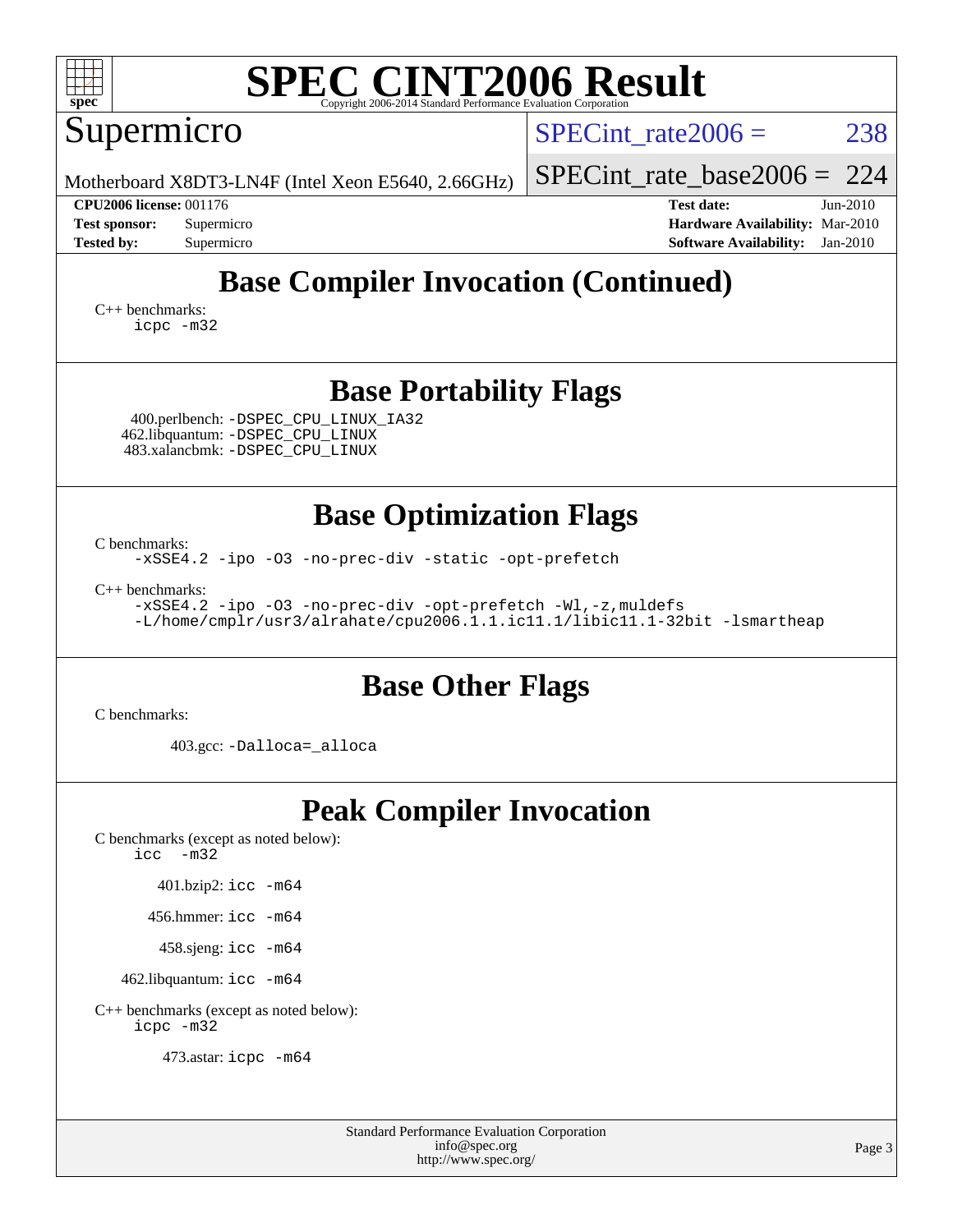| <b>SPEC CINT2006 Result</b><br>spec <sup>®</sup><br>Copyright 2006-2014 Standard Performance Evaluation (                                                                                       |                                                                                                                 |  |  |  |  |  |  |  |
|-------------------------------------------------------------------------------------------------------------------------------------------------------------------------------------------------|-----------------------------------------------------------------------------------------------------------------|--|--|--|--|--|--|--|
| Supermicro                                                                                                                                                                                      | 238<br>$SPECint rate 2006 =$                                                                                    |  |  |  |  |  |  |  |
| Motherboard X8DT3-LN4F (Intel Xeon E5640, 2.66GHz)                                                                                                                                              | 224<br>$SPECint_rate_base2006 =$                                                                                |  |  |  |  |  |  |  |
| <b>CPU2006 license: 001176</b><br><b>Test sponsor:</b><br>Supermicro<br><b>Tested by:</b><br>Supermicro                                                                                         | <b>Test date:</b><br>Jun-2010<br>Hardware Availability: Mar-2010<br><b>Software Availability:</b><br>$Jan-2010$ |  |  |  |  |  |  |  |
| <b>Base Compiler Invocation (Continued)</b>                                                                                                                                                     |                                                                                                                 |  |  |  |  |  |  |  |
| $C_{++}$ benchmarks:<br>$icpc$ $-m32$                                                                                                                                                           |                                                                                                                 |  |  |  |  |  |  |  |
| <b>Base Portability Flags</b>                                                                                                                                                                   |                                                                                                                 |  |  |  |  |  |  |  |
| 400.perlbench: - DSPEC_CPU_LINUX_IA32<br>462.libquantum: -DSPEC_CPU_LINUX<br>483.xalancbmk: - DSPEC CPU LINUX                                                                                   |                                                                                                                 |  |  |  |  |  |  |  |
| <b>Base Optimization Flags</b><br>C benchmarks:<br>-xSSE4.2 -ipo -03 -no-prec-div -static -opt-prefetch<br>$C_{++}$ benchmarks:<br>-xSSE4.2 -ipo -03 -no-prec-div -opt-prefetch -Wl,-z, muldefs |                                                                                                                 |  |  |  |  |  |  |  |
| -L/home/cmplr/usr3/alrahate/cpu2006.1.1.ic11.1/libic11.1-32bit -lsmartheap<br><b>Base Other Flags</b>                                                                                           |                                                                                                                 |  |  |  |  |  |  |  |
| C benchmarks:                                                                                                                                                                                   |                                                                                                                 |  |  |  |  |  |  |  |
| 403.gcc: -Dalloca=_alloca                                                                                                                                                                       |                                                                                                                 |  |  |  |  |  |  |  |
| <b>Peak Compiler Invocation</b><br>C benchmarks (except as noted below):<br>$-m32$<br>icc                                                                                                       |                                                                                                                 |  |  |  |  |  |  |  |
| 401.bzip2: icc -m64                                                                                                                                                                             |                                                                                                                 |  |  |  |  |  |  |  |
| 456.hmmer: $\text{icc}$ -m64                                                                                                                                                                    |                                                                                                                 |  |  |  |  |  |  |  |
| 458.sjeng: icc -m64                                                                                                                                                                             |                                                                                                                 |  |  |  |  |  |  |  |
| 462.libquantum: icc -m64                                                                                                                                                                        |                                                                                                                 |  |  |  |  |  |  |  |
| C++ benchmarks (except as noted below):<br>icpc -m32                                                                                                                                            |                                                                                                                 |  |  |  |  |  |  |  |
| 473.astar: icpc -m64                                                                                                                                                                            |                                                                                                                 |  |  |  |  |  |  |  |

Standard Performance Evaluation Corporation [info@spec.org](mailto:info@spec.org) <http://www.spec.org/>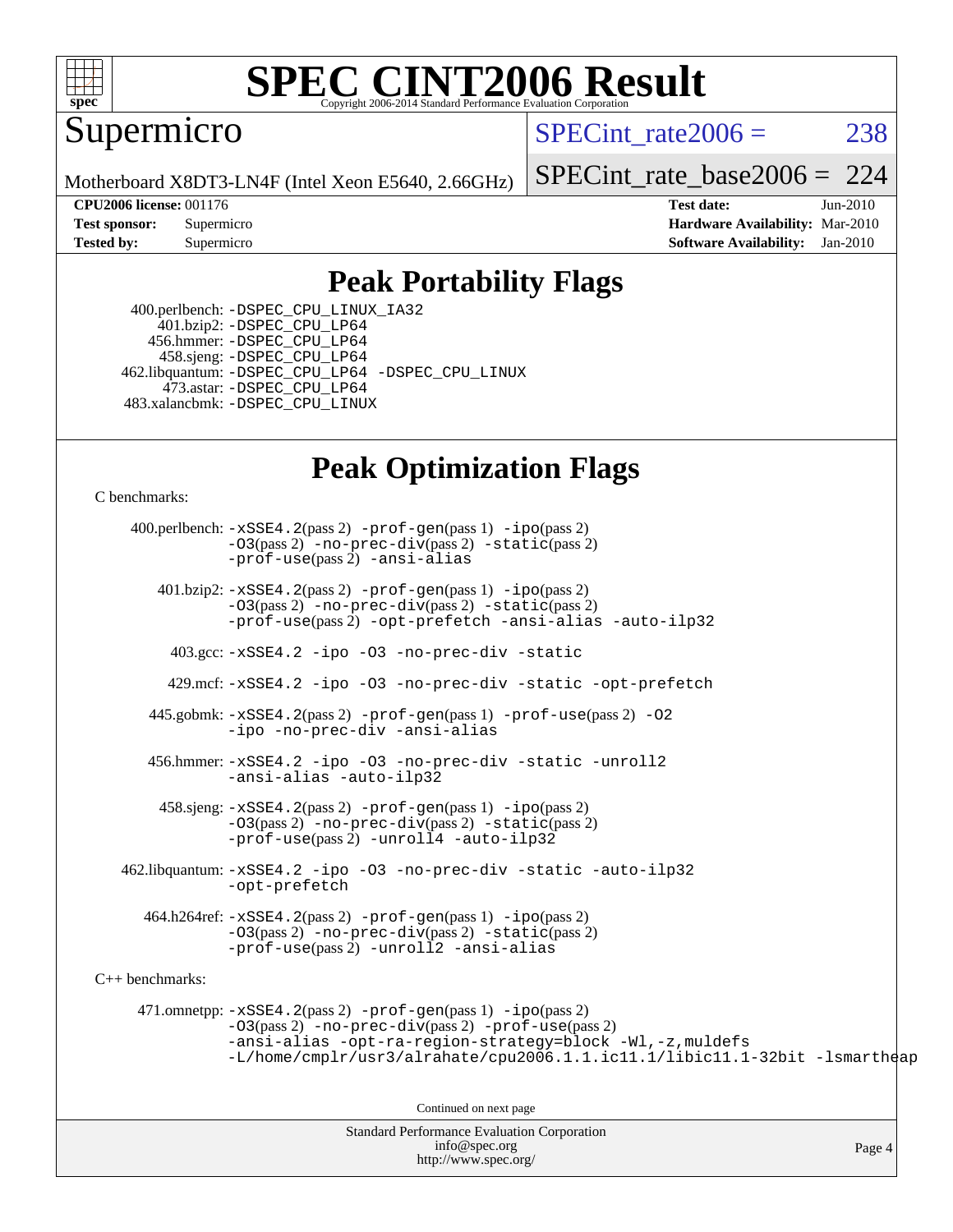

# **[SPEC CINT2006 Result](http://www.spec.org/auto/cpu2006/Docs/result-fields.html#SPECCINT2006Result)**

Supermicro

SPECint rate $2006 = 238$ 

Motherboard X8DT3-LN4F (Intel Xeon E5640, 2.66GHz)

[SPECint\\_rate\\_base2006 =](http://www.spec.org/auto/cpu2006/Docs/result-fields.html#SPECintratebase2006) 224

**[CPU2006 license:](http://www.spec.org/auto/cpu2006/Docs/result-fields.html#CPU2006license)** 001176 **[Test date:](http://www.spec.org/auto/cpu2006/Docs/result-fields.html#Testdate)** Jun-2010 **[Test sponsor:](http://www.spec.org/auto/cpu2006/Docs/result-fields.html#Testsponsor)** Supermicro **[Hardware Availability:](http://www.spec.org/auto/cpu2006/Docs/result-fields.html#HardwareAvailability)** Mar-2010 **[Tested by:](http://www.spec.org/auto/cpu2006/Docs/result-fields.html#Testedby)** Supermicro **[Software Availability:](http://www.spec.org/auto/cpu2006/Docs/result-fields.html#SoftwareAvailability)** Jan-2010

### **[Peak Portability Flags](http://www.spec.org/auto/cpu2006/Docs/result-fields.html#PeakPortabilityFlags)**

 400.perlbench: [-DSPEC\\_CPU\\_LINUX\\_IA32](http://www.spec.org/cpu2006/results/res2010q3/cpu2006-20100611-11701.flags.html#b400.perlbench_peakCPORTABILITY_DSPEC_CPU_LINUX_IA32) 401.bzip2: [-DSPEC\\_CPU\\_LP64](http://www.spec.org/cpu2006/results/res2010q3/cpu2006-20100611-11701.flags.html#suite_peakCPORTABILITY401_bzip2_DSPEC_CPU_LP64) 456.hmmer: [-DSPEC\\_CPU\\_LP64](http://www.spec.org/cpu2006/results/res2010q3/cpu2006-20100611-11701.flags.html#suite_peakCPORTABILITY456_hmmer_DSPEC_CPU_LP64) 458.sjeng: [-DSPEC\\_CPU\\_LP64](http://www.spec.org/cpu2006/results/res2010q3/cpu2006-20100611-11701.flags.html#suite_peakCPORTABILITY458_sjeng_DSPEC_CPU_LP64) 462.libquantum: [-DSPEC\\_CPU\\_LP64](http://www.spec.org/cpu2006/results/res2010q3/cpu2006-20100611-11701.flags.html#suite_peakCPORTABILITY462_libquantum_DSPEC_CPU_LP64) [-DSPEC\\_CPU\\_LINUX](http://www.spec.org/cpu2006/results/res2010q3/cpu2006-20100611-11701.flags.html#b462.libquantum_peakCPORTABILITY_DSPEC_CPU_LINUX) 473.astar: [-DSPEC\\_CPU\\_LP64](http://www.spec.org/cpu2006/results/res2010q3/cpu2006-20100611-11701.flags.html#suite_peakCXXPORTABILITY473_astar_DSPEC_CPU_LP64) 483.xalancbmk: [-DSPEC\\_CPU\\_LINUX](http://www.spec.org/cpu2006/results/res2010q3/cpu2006-20100611-11701.flags.html#b483.xalancbmk_peakCXXPORTABILITY_DSPEC_CPU_LINUX)

## **[Peak Optimization Flags](http://www.spec.org/auto/cpu2006/Docs/result-fields.html#PeakOptimizationFlags)**

[C benchmarks](http://www.spec.org/auto/cpu2006/Docs/result-fields.html#Cbenchmarks):

Standard Performance Evaluation Corporation 400.perlbench: [-xSSE4.2](http://www.spec.org/cpu2006/results/res2010q3/cpu2006-20100611-11701.flags.html#user_peakPASS2_CFLAGSPASS2_LDCFLAGS400_perlbench_f-xSSE42_f91528193cf0b216347adb8b939d4107)(pass 2) [-prof-gen](http://www.spec.org/cpu2006/results/res2010q3/cpu2006-20100611-11701.flags.html#user_peakPASS1_CFLAGSPASS1_LDCFLAGS400_perlbench_prof_gen_e43856698f6ca7b7e442dfd80e94a8fc)(pass 1) [-ipo](http://www.spec.org/cpu2006/results/res2010q3/cpu2006-20100611-11701.flags.html#user_peakPASS2_CFLAGSPASS2_LDCFLAGS400_perlbench_f-ipo)(pass 2) [-O3](http://www.spec.org/cpu2006/results/res2010q3/cpu2006-20100611-11701.flags.html#user_peakPASS2_CFLAGSPASS2_LDCFLAGS400_perlbench_f-O3)(pass 2) [-no-prec-div](http://www.spec.org/cpu2006/results/res2010q3/cpu2006-20100611-11701.flags.html#user_peakPASS2_CFLAGSPASS2_LDCFLAGS400_perlbench_f-no-prec-div)(pass 2) [-static](http://www.spec.org/cpu2006/results/res2010q3/cpu2006-20100611-11701.flags.html#user_peakPASS2_CFLAGSPASS2_LDCFLAGS400_perlbench_f-static)(pass 2) [-prof-use](http://www.spec.org/cpu2006/results/res2010q3/cpu2006-20100611-11701.flags.html#user_peakPASS2_CFLAGSPASS2_LDCFLAGS400_perlbench_prof_use_bccf7792157ff70d64e32fe3e1250b55)(pass 2) [-ansi-alias](http://www.spec.org/cpu2006/results/res2010q3/cpu2006-20100611-11701.flags.html#user_peakCOPTIMIZE400_perlbench_f-ansi-alias) 401.bzip2: [-xSSE4.2](http://www.spec.org/cpu2006/results/res2010q3/cpu2006-20100611-11701.flags.html#user_peakPASS2_CFLAGSPASS2_LDCFLAGS401_bzip2_f-xSSE42_f91528193cf0b216347adb8b939d4107)(pass 2) [-prof-gen](http://www.spec.org/cpu2006/results/res2010q3/cpu2006-20100611-11701.flags.html#user_peakPASS1_CFLAGSPASS1_LDCFLAGS401_bzip2_prof_gen_e43856698f6ca7b7e442dfd80e94a8fc)(pass 1) [-ipo](http://www.spec.org/cpu2006/results/res2010q3/cpu2006-20100611-11701.flags.html#user_peakPASS2_CFLAGSPASS2_LDCFLAGS401_bzip2_f-ipo)(pass 2) [-O3](http://www.spec.org/cpu2006/results/res2010q3/cpu2006-20100611-11701.flags.html#user_peakPASS2_CFLAGSPASS2_LDCFLAGS401_bzip2_f-O3)(pass 2) [-no-prec-div](http://www.spec.org/cpu2006/results/res2010q3/cpu2006-20100611-11701.flags.html#user_peakPASS2_CFLAGSPASS2_LDCFLAGS401_bzip2_f-no-prec-div)(pass 2) [-static](http://www.spec.org/cpu2006/results/res2010q3/cpu2006-20100611-11701.flags.html#user_peakPASS2_CFLAGSPASS2_LDCFLAGS401_bzip2_f-static)(pass 2) [-prof-use](http://www.spec.org/cpu2006/results/res2010q3/cpu2006-20100611-11701.flags.html#user_peakPASS2_CFLAGSPASS2_LDCFLAGS401_bzip2_prof_use_bccf7792157ff70d64e32fe3e1250b55)(pass 2) [-opt-prefetch](http://www.spec.org/cpu2006/results/res2010q3/cpu2006-20100611-11701.flags.html#user_peakCOPTIMIZE401_bzip2_f-opt-prefetch) [-ansi-alias](http://www.spec.org/cpu2006/results/res2010q3/cpu2006-20100611-11701.flags.html#user_peakCOPTIMIZE401_bzip2_f-ansi-alias) [-auto-ilp32](http://www.spec.org/cpu2006/results/res2010q3/cpu2006-20100611-11701.flags.html#user_peakCOPTIMIZE401_bzip2_f-auto-ilp32) 403.gcc: [-xSSE4.2](http://www.spec.org/cpu2006/results/res2010q3/cpu2006-20100611-11701.flags.html#user_peakCOPTIMIZE403_gcc_f-xSSE42_f91528193cf0b216347adb8b939d4107) [-ipo](http://www.spec.org/cpu2006/results/res2010q3/cpu2006-20100611-11701.flags.html#user_peakCOPTIMIZE403_gcc_f-ipo) [-O3](http://www.spec.org/cpu2006/results/res2010q3/cpu2006-20100611-11701.flags.html#user_peakCOPTIMIZE403_gcc_f-O3) [-no-prec-div](http://www.spec.org/cpu2006/results/res2010q3/cpu2006-20100611-11701.flags.html#user_peakCOPTIMIZE403_gcc_f-no-prec-div) [-static](http://www.spec.org/cpu2006/results/res2010q3/cpu2006-20100611-11701.flags.html#user_peakCOPTIMIZE403_gcc_f-static) 429.mcf: [-xSSE4.2](http://www.spec.org/cpu2006/results/res2010q3/cpu2006-20100611-11701.flags.html#user_peakCOPTIMIZE429_mcf_f-xSSE42_f91528193cf0b216347adb8b939d4107) [-ipo](http://www.spec.org/cpu2006/results/res2010q3/cpu2006-20100611-11701.flags.html#user_peakCOPTIMIZE429_mcf_f-ipo) [-O3](http://www.spec.org/cpu2006/results/res2010q3/cpu2006-20100611-11701.flags.html#user_peakCOPTIMIZE429_mcf_f-O3) [-no-prec-div](http://www.spec.org/cpu2006/results/res2010q3/cpu2006-20100611-11701.flags.html#user_peakCOPTIMIZE429_mcf_f-no-prec-div) [-static](http://www.spec.org/cpu2006/results/res2010q3/cpu2006-20100611-11701.flags.html#user_peakCOPTIMIZE429_mcf_f-static) [-opt-prefetch](http://www.spec.org/cpu2006/results/res2010q3/cpu2006-20100611-11701.flags.html#user_peakCOPTIMIZE429_mcf_f-opt-prefetch) 445.gobmk: [-xSSE4.2](http://www.spec.org/cpu2006/results/res2010q3/cpu2006-20100611-11701.flags.html#user_peakPASS2_CFLAGSPASS2_LDCFLAGS445_gobmk_f-xSSE42_f91528193cf0b216347adb8b939d4107)(pass 2) [-prof-gen](http://www.spec.org/cpu2006/results/res2010q3/cpu2006-20100611-11701.flags.html#user_peakPASS1_CFLAGSPASS1_LDCFLAGS445_gobmk_prof_gen_e43856698f6ca7b7e442dfd80e94a8fc)(pass 1) [-prof-use](http://www.spec.org/cpu2006/results/res2010q3/cpu2006-20100611-11701.flags.html#user_peakPASS2_CFLAGSPASS2_LDCFLAGS445_gobmk_prof_use_bccf7792157ff70d64e32fe3e1250b55)(pass 2) [-O2](http://www.spec.org/cpu2006/results/res2010q3/cpu2006-20100611-11701.flags.html#user_peakCOPTIMIZE445_gobmk_f-O2) [-ipo](http://www.spec.org/cpu2006/results/res2010q3/cpu2006-20100611-11701.flags.html#user_peakCOPTIMIZE445_gobmk_f-ipo) [-no-prec-div](http://www.spec.org/cpu2006/results/res2010q3/cpu2006-20100611-11701.flags.html#user_peakCOPTIMIZE445_gobmk_f-no-prec-div) [-ansi-alias](http://www.spec.org/cpu2006/results/res2010q3/cpu2006-20100611-11701.flags.html#user_peakCOPTIMIZE445_gobmk_f-ansi-alias) 456.hmmer: [-xSSE4.2](http://www.spec.org/cpu2006/results/res2010q3/cpu2006-20100611-11701.flags.html#user_peakCOPTIMIZE456_hmmer_f-xSSE42_f91528193cf0b216347adb8b939d4107) [-ipo](http://www.spec.org/cpu2006/results/res2010q3/cpu2006-20100611-11701.flags.html#user_peakCOPTIMIZE456_hmmer_f-ipo) [-O3](http://www.spec.org/cpu2006/results/res2010q3/cpu2006-20100611-11701.flags.html#user_peakCOPTIMIZE456_hmmer_f-O3) [-no-prec-div](http://www.spec.org/cpu2006/results/res2010q3/cpu2006-20100611-11701.flags.html#user_peakCOPTIMIZE456_hmmer_f-no-prec-div) [-static](http://www.spec.org/cpu2006/results/res2010q3/cpu2006-20100611-11701.flags.html#user_peakCOPTIMIZE456_hmmer_f-static) [-unroll2](http://www.spec.org/cpu2006/results/res2010q3/cpu2006-20100611-11701.flags.html#user_peakCOPTIMIZE456_hmmer_f-unroll_784dae83bebfb236979b41d2422d7ec2) [-ansi-alias](http://www.spec.org/cpu2006/results/res2010q3/cpu2006-20100611-11701.flags.html#user_peakCOPTIMIZE456_hmmer_f-ansi-alias) [-auto-ilp32](http://www.spec.org/cpu2006/results/res2010q3/cpu2006-20100611-11701.flags.html#user_peakCOPTIMIZE456_hmmer_f-auto-ilp32)  $458 \text{.}$  sjeng:  $-xSSE4$ .  $2(\text{pass 2})$  -prof-qen(pass 1) [-ipo](http://www.spec.org/cpu2006/results/res2010q3/cpu2006-20100611-11701.flags.html#user_peakPASS2_CFLAGSPASS2_LDCFLAGS458_sjeng_f-ipo)(pass 2) [-O3](http://www.spec.org/cpu2006/results/res2010q3/cpu2006-20100611-11701.flags.html#user_peakPASS2_CFLAGSPASS2_LDCFLAGS458_sjeng_f-O3)(pass 2) [-no-prec-div](http://www.spec.org/cpu2006/results/res2010q3/cpu2006-20100611-11701.flags.html#user_peakPASS2_CFLAGSPASS2_LDCFLAGS458_sjeng_f-no-prec-div)(pass 2) [-static](http://www.spec.org/cpu2006/results/res2010q3/cpu2006-20100611-11701.flags.html#user_peakPASS2_CFLAGSPASS2_LDCFLAGS458_sjeng_f-static)(pass 2) [-prof-use](http://www.spec.org/cpu2006/results/res2010q3/cpu2006-20100611-11701.flags.html#user_peakPASS2_CFLAGSPASS2_LDCFLAGS458_sjeng_prof_use_bccf7792157ff70d64e32fe3e1250b55)(pass 2) [-unroll4](http://www.spec.org/cpu2006/results/res2010q3/cpu2006-20100611-11701.flags.html#user_peakCOPTIMIZE458_sjeng_f-unroll_4e5e4ed65b7fd20bdcd365bec371b81f) [-auto-ilp32](http://www.spec.org/cpu2006/results/res2010q3/cpu2006-20100611-11701.flags.html#user_peakCOPTIMIZE458_sjeng_f-auto-ilp32) 462.libquantum: [-xSSE4.2](http://www.spec.org/cpu2006/results/res2010q3/cpu2006-20100611-11701.flags.html#user_peakCOPTIMIZE462_libquantum_f-xSSE42_f91528193cf0b216347adb8b939d4107) [-ipo](http://www.spec.org/cpu2006/results/res2010q3/cpu2006-20100611-11701.flags.html#user_peakCOPTIMIZE462_libquantum_f-ipo) [-O3](http://www.spec.org/cpu2006/results/res2010q3/cpu2006-20100611-11701.flags.html#user_peakCOPTIMIZE462_libquantum_f-O3) [-no-prec-div](http://www.spec.org/cpu2006/results/res2010q3/cpu2006-20100611-11701.flags.html#user_peakCOPTIMIZE462_libquantum_f-no-prec-div) [-static](http://www.spec.org/cpu2006/results/res2010q3/cpu2006-20100611-11701.flags.html#user_peakCOPTIMIZE462_libquantum_f-static) [-auto-ilp32](http://www.spec.org/cpu2006/results/res2010q3/cpu2006-20100611-11701.flags.html#user_peakCOPTIMIZE462_libquantum_f-auto-ilp32) [-opt-prefetch](http://www.spec.org/cpu2006/results/res2010q3/cpu2006-20100611-11701.flags.html#user_peakCOPTIMIZE462_libquantum_f-opt-prefetch) 464.h264ref: [-xSSE4.2](http://www.spec.org/cpu2006/results/res2010q3/cpu2006-20100611-11701.flags.html#user_peakPASS2_CFLAGSPASS2_LDCFLAGS464_h264ref_f-xSSE42_f91528193cf0b216347adb8b939d4107)(pass 2) [-prof-gen](http://www.spec.org/cpu2006/results/res2010q3/cpu2006-20100611-11701.flags.html#user_peakPASS1_CFLAGSPASS1_LDCFLAGS464_h264ref_prof_gen_e43856698f6ca7b7e442dfd80e94a8fc)(pass 1) [-ipo](http://www.spec.org/cpu2006/results/res2010q3/cpu2006-20100611-11701.flags.html#user_peakPASS2_CFLAGSPASS2_LDCFLAGS464_h264ref_f-ipo)(pass 2) [-O3](http://www.spec.org/cpu2006/results/res2010q3/cpu2006-20100611-11701.flags.html#user_peakPASS2_CFLAGSPASS2_LDCFLAGS464_h264ref_f-O3)(pass 2) [-no-prec-div](http://www.spec.org/cpu2006/results/res2010q3/cpu2006-20100611-11701.flags.html#user_peakPASS2_CFLAGSPASS2_LDCFLAGS464_h264ref_f-no-prec-div)(pass 2) [-static](http://www.spec.org/cpu2006/results/res2010q3/cpu2006-20100611-11701.flags.html#user_peakPASS2_CFLAGSPASS2_LDCFLAGS464_h264ref_f-static)(pass 2) [-prof-use](http://www.spec.org/cpu2006/results/res2010q3/cpu2006-20100611-11701.flags.html#user_peakPASS2_CFLAGSPASS2_LDCFLAGS464_h264ref_prof_use_bccf7792157ff70d64e32fe3e1250b55)(pass 2) [-unroll2](http://www.spec.org/cpu2006/results/res2010q3/cpu2006-20100611-11701.flags.html#user_peakCOPTIMIZE464_h264ref_f-unroll_784dae83bebfb236979b41d2422d7ec2) [-ansi-alias](http://www.spec.org/cpu2006/results/res2010q3/cpu2006-20100611-11701.flags.html#user_peakCOPTIMIZE464_h264ref_f-ansi-alias) [C++ benchmarks:](http://www.spec.org/auto/cpu2006/Docs/result-fields.html#CXXbenchmarks) 471.omnetpp: [-xSSE4.2](http://www.spec.org/cpu2006/results/res2010q3/cpu2006-20100611-11701.flags.html#user_peakPASS2_CXXFLAGSPASS2_LDCXXFLAGS471_omnetpp_f-xSSE42_f91528193cf0b216347adb8b939d4107)(pass 2) [-prof-gen](http://www.spec.org/cpu2006/results/res2010q3/cpu2006-20100611-11701.flags.html#user_peakPASS1_CXXFLAGSPASS1_LDCXXFLAGS471_omnetpp_prof_gen_e43856698f6ca7b7e442dfd80e94a8fc)(pass 1) [-ipo](http://www.spec.org/cpu2006/results/res2010q3/cpu2006-20100611-11701.flags.html#user_peakPASS2_CXXFLAGSPASS2_LDCXXFLAGS471_omnetpp_f-ipo)(pass 2) [-O3](http://www.spec.org/cpu2006/results/res2010q3/cpu2006-20100611-11701.flags.html#user_peakPASS2_CXXFLAGSPASS2_LDCXXFLAGS471_omnetpp_f-O3)(pass 2) [-no-prec-div](http://www.spec.org/cpu2006/results/res2010q3/cpu2006-20100611-11701.flags.html#user_peakPASS2_CXXFLAGSPASS2_LDCXXFLAGS471_omnetpp_f-no-prec-div)(pass 2) [-prof-use](http://www.spec.org/cpu2006/results/res2010q3/cpu2006-20100611-11701.flags.html#user_peakPASS2_CXXFLAGSPASS2_LDCXXFLAGS471_omnetpp_prof_use_bccf7792157ff70d64e32fe3e1250b55)(pass 2) [-ansi-alias](http://www.spec.org/cpu2006/results/res2010q3/cpu2006-20100611-11701.flags.html#user_peakCXXOPTIMIZE471_omnetpp_f-ansi-alias) [-opt-ra-region-strategy=block](http://www.spec.org/cpu2006/results/res2010q3/cpu2006-20100611-11701.flags.html#user_peakCXXOPTIMIZE471_omnetpp_f-opt-ra-region-strategy-block_a0a37c372d03933b2a18d4af463c1f69) [-Wl,-z,muldefs](http://www.spec.org/cpu2006/results/res2010q3/cpu2006-20100611-11701.flags.html#user_peakEXTRA_LDFLAGS471_omnetpp_link_force_multiple1_74079c344b956b9658436fd1b6dd3a8a) [-L/home/cmplr/usr3/alrahate/cpu2006.1.1.ic11.1/libic11.1-32bit -lsmartheap](http://www.spec.org/cpu2006/results/res2010q3/cpu2006-20100611-11701.flags.html#user_peakEXTRA_LIBS471_omnetpp_SmartHeap_d86dffe4a79b79ef8890d5cce17030c3) Continued on next page

[info@spec.org](mailto:info@spec.org) <http://www.spec.org/>

Page 4